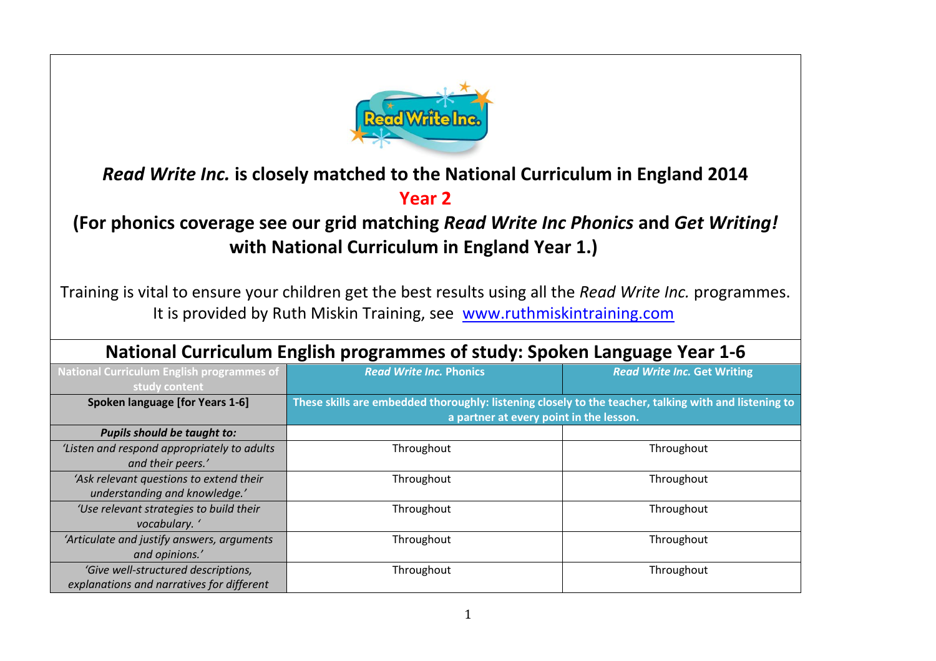

## *Read Write Inc.* **is closely matched to the National Curriculum in England 2014**

## **Year 2**

**(For phonics coverage see our grid matching** *Read Write Inc Phonics* **and** *Get Writing!*  **with National Curriculum in England Year 1.)**

Training is vital to ensure your children get the best results using all the *Read Write Inc.* programmes. It is provided by Ruth Miskin Training, see [www.ruthmiskintraining.com](http://www.ruthmiskintraining.com/)

| <b>National Curriculum English programmes of</b><br>study content                | <b>Read Write Inc. Phonics</b>                                                                                                                   | <b>Read Write Inc. Get Writing</b> |
|----------------------------------------------------------------------------------|--------------------------------------------------------------------------------------------------------------------------------------------------|------------------------------------|
| <b>Spoken language [for Years 1-6]</b>                                           | These skills are embedded thoroughly: listening closely to the teacher, talking with and listening to<br>a partner at every point in the lesson. |                                    |
| <b>Pupils should be taught to:</b>                                               |                                                                                                                                                  |                                    |
| 'Listen and respond appropriately to adults                                      | Throughout                                                                                                                                       | Throughout                         |
| and their peers.'                                                                |                                                                                                                                                  |                                    |
| 'Ask relevant questions to extend their<br>understanding and knowledge.'         | Throughout                                                                                                                                       | Throughout                         |
| 'Use relevant strategies to build their<br>vocabulary. '                         | Throughout                                                                                                                                       | Throughout                         |
| 'Articulate and justify answers, arguments<br>and opinions.'                     | Throughout                                                                                                                                       | Throughout                         |
| 'Give well-structured descriptions,<br>explanations and narratives for different | Throughout                                                                                                                                       | Throughout                         |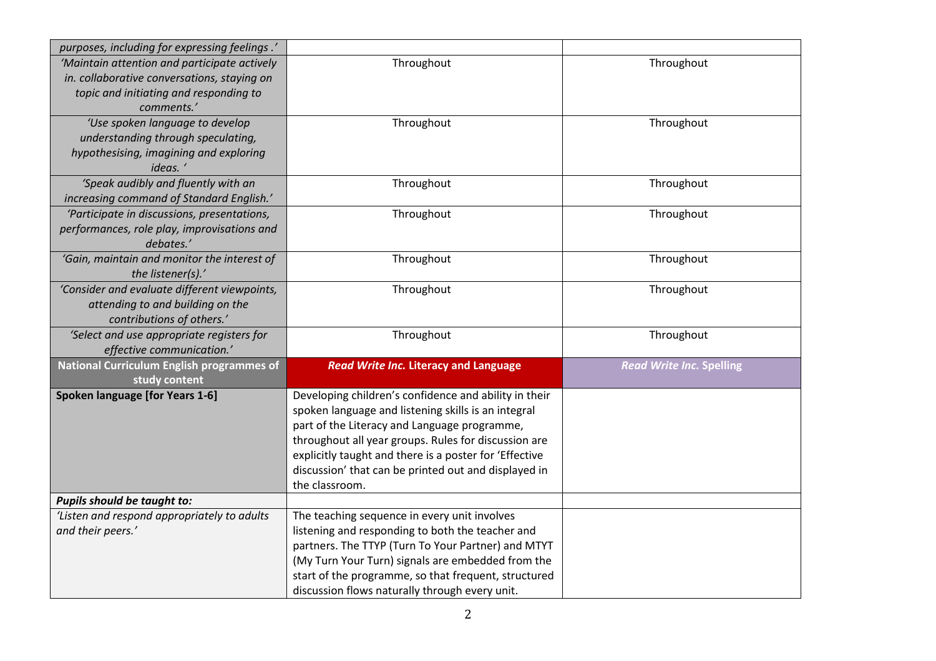| purposes, including for expressing feelings.'    |                                                                                                      |                                 |
|--------------------------------------------------|------------------------------------------------------------------------------------------------------|---------------------------------|
| 'Maintain attention and participate actively     | Throughout                                                                                           | Throughout                      |
| in. collaborative conversations, staying on      |                                                                                                      |                                 |
| topic and initiating and responding to           |                                                                                                      |                                 |
| comments.'                                       |                                                                                                      |                                 |
| 'Use spoken language to develop                  | Throughout                                                                                           | Throughout                      |
| understanding through speculating,               |                                                                                                      |                                 |
| hypothesising, imagining and exploring           |                                                                                                      |                                 |
| ideas.                                           |                                                                                                      |                                 |
| 'Speak audibly and fluently with an              | Throughout                                                                                           | Throughout                      |
| increasing command of Standard English.'         |                                                                                                      |                                 |
| 'Participate in discussions, presentations,      | Throughout                                                                                           | Throughout                      |
| performances, role play, improvisations and      |                                                                                                      |                                 |
| debates.'                                        |                                                                                                      |                                 |
| 'Gain, maintain and monitor the interest of      | Throughout                                                                                           | Throughout                      |
| the listener(s).'                                |                                                                                                      |                                 |
| 'Consider and evaluate different viewpoints,     | Throughout                                                                                           | Throughout                      |
| attending to and building on the                 |                                                                                                      |                                 |
| contributions of others.'                        |                                                                                                      |                                 |
| 'Select and use appropriate registers for        | Throughout                                                                                           | Throughout                      |
| effective communication.'                        |                                                                                                      |                                 |
| <b>National Curriculum English programmes of</b> | <b>Read Write Inc. Literacy and Language</b>                                                         | <b>Read Write Inc. Spelling</b> |
| study content                                    |                                                                                                      |                                 |
| Spoken language [for Years 1-6]                  | Developing children's confidence and ability in their                                                |                                 |
|                                                  | spoken language and listening skills is an integral                                                  |                                 |
|                                                  | part of the Literacy and Language programme,<br>throughout all year groups. Rules for discussion are |                                 |
|                                                  | explicitly taught and there is a poster for 'Effective                                               |                                 |
|                                                  | discussion' that can be printed out and displayed in                                                 |                                 |
|                                                  | the classroom.                                                                                       |                                 |
| Pupils should be taught to:                      |                                                                                                      |                                 |
| 'Listen and respond appropriately to adults      | The teaching sequence in every unit involves                                                         |                                 |
| and their peers.'                                | listening and responding to both the teacher and                                                     |                                 |
|                                                  | partners. The TTYP (Turn To Your Partner) and MTYT                                                   |                                 |
|                                                  | (My Turn Your Turn) signals are embedded from the                                                    |                                 |
|                                                  | start of the programme, so that frequent, structured                                                 |                                 |
|                                                  | discussion flows naturally through every unit.                                                       |                                 |
|                                                  |                                                                                                      |                                 |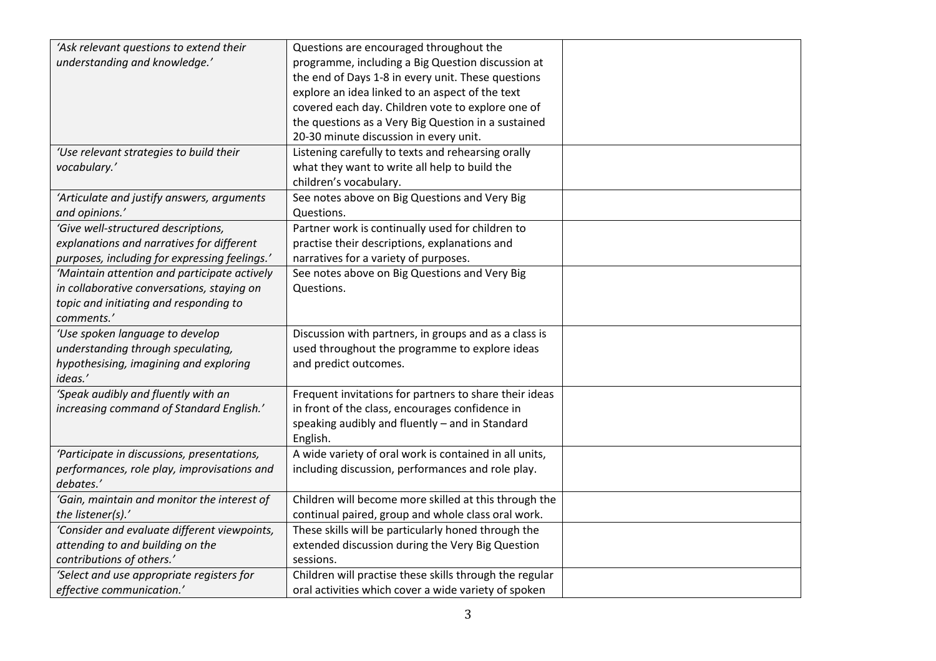| 'Ask relevant questions to extend their       | Questions are encouraged throughout the                 |  |
|-----------------------------------------------|---------------------------------------------------------|--|
| understanding and knowledge.'                 | programme, including a Big Question discussion at       |  |
|                                               | the end of Days 1-8 in every unit. These questions      |  |
|                                               | explore an idea linked to an aspect of the text         |  |
|                                               | covered each day. Children vote to explore one of       |  |
|                                               |                                                         |  |
|                                               | the questions as a Very Big Question in a sustained     |  |
|                                               | 20-30 minute discussion in every unit.                  |  |
| 'Use relevant strategies to build their       | Listening carefully to texts and rehearsing orally      |  |
| vocabulary.'                                  | what they want to write all help to build the           |  |
|                                               | children's vocabulary.                                  |  |
| 'Articulate and justify answers, arguments    | See notes above on Big Questions and Very Big           |  |
| and opinions.'                                | Questions.                                              |  |
| 'Give well-structured descriptions,           | Partner work is continually used for children to        |  |
| explanations and narratives for different     | practise their descriptions, explanations and           |  |
| purposes, including for expressing feelings.' | narratives for a variety of purposes.                   |  |
| 'Maintain attention and participate actively  | See notes above on Big Questions and Very Big           |  |
| in collaborative conversations, staying on    | Questions.                                              |  |
| topic and initiating and responding to        |                                                         |  |
| comments.'                                    |                                                         |  |
| 'Use spoken language to develop               | Discussion with partners, in groups and as a class is   |  |
| understanding through speculating,            | used throughout the programme to explore ideas          |  |
| hypothesising, imagining and exploring        | and predict outcomes.                                   |  |
| ideas.'                                       |                                                         |  |
| 'Speak audibly and fluently with an           | Frequent invitations for partners to share their ideas  |  |
| increasing command of Standard English.'      | in front of the class, encourages confidence in         |  |
|                                               | speaking audibly and fluently - and in Standard         |  |
|                                               | English.                                                |  |
| 'Participate in discussions, presentations,   | A wide variety of oral work is contained in all units,  |  |
| performances, role play, improvisations and   | including discussion, performances and role play.       |  |
| debates.'                                     |                                                         |  |
| 'Gain, maintain and monitor the interest of   | Children will become more skilled at this through the   |  |
| the listener(s).'                             | continual paired, group and whole class oral work.      |  |
| 'Consider and evaluate different viewpoints,  | These skills will be particularly honed through the     |  |
| attending to and building on the              | extended discussion during the Very Big Question        |  |
| contributions of others.'                     | sessions.                                               |  |
| 'Select and use appropriate registers for     | Children will practise these skills through the regular |  |
| effective communication.'                     | oral activities which cover a wide variety of spoken    |  |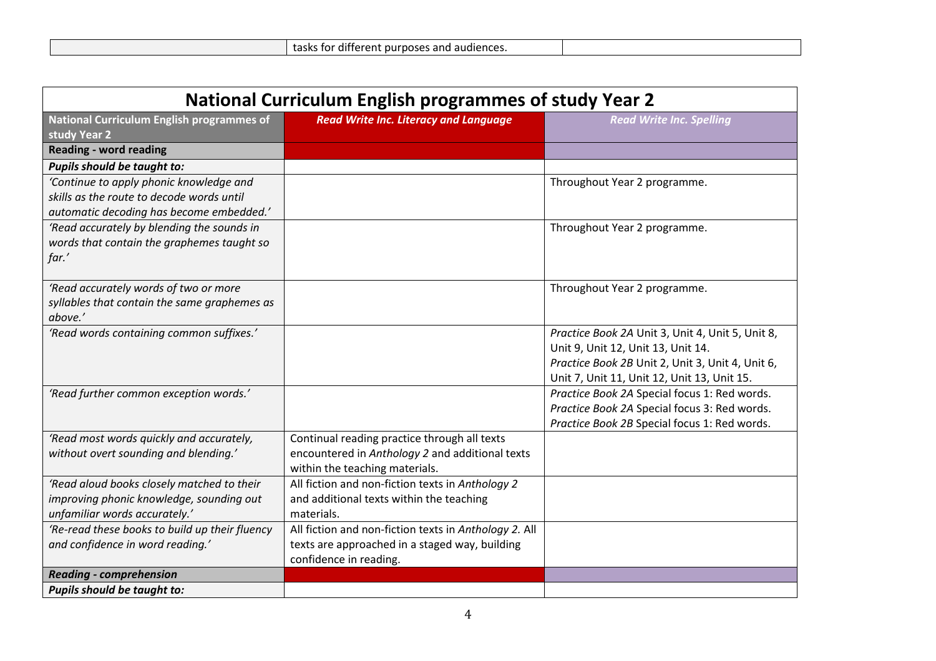|--|

| <b>National Curriculum English programmes of study Year 2</b>    |                                                       |                                                  |
|------------------------------------------------------------------|-------------------------------------------------------|--------------------------------------------------|
| <b>National Curriculum English programmes of</b><br>study Year 2 | <b>Read Write Inc. Literacy and Language</b>          | <b>Read Write Inc. Spelling</b>                  |
| <b>Reading - word reading</b>                                    |                                                       |                                                  |
| Pupils should be taught to:                                      |                                                       |                                                  |
| 'Continue to apply phonic knowledge and                          |                                                       | Throughout Year 2 programme.                     |
| skills as the route to decode words until                        |                                                       |                                                  |
| automatic decoding has become embedded.'                         |                                                       |                                                  |
| 'Read accurately by blending the sounds in                       |                                                       | Throughout Year 2 programme.                     |
| words that contain the graphemes taught so                       |                                                       |                                                  |
| far.'                                                            |                                                       |                                                  |
|                                                                  |                                                       |                                                  |
| 'Read accurately words of two or more                            |                                                       | Throughout Year 2 programme.                     |
| syllables that contain the same graphemes as<br>above.'          |                                                       |                                                  |
| 'Read words containing common suffixes.'                         |                                                       | Practice Book 2A Unit 3, Unit 4, Unit 5, Unit 8, |
|                                                                  |                                                       | Unit 9, Unit 12, Unit 13, Unit 14.               |
|                                                                  |                                                       | Practice Book 2B Unit 2, Unit 3, Unit 4, Unit 6, |
|                                                                  |                                                       | Unit 7, Unit 11, Unit 12, Unit 13, Unit 15.      |
| 'Read further common exception words.'                           |                                                       | Practice Book 2A Special focus 1: Red words.     |
|                                                                  |                                                       | Practice Book 2A Special focus 3: Red words.     |
|                                                                  |                                                       | Practice Book 2B Special focus 1: Red words.     |
| 'Read most words quickly and accurately,                         | Continual reading practice through all texts          |                                                  |
| without overt sounding and blending.'                            | encountered in Anthology 2 and additional texts       |                                                  |
|                                                                  | within the teaching materials.                        |                                                  |
| 'Read aloud books closely matched to their                       | All fiction and non-fiction texts in Anthology 2      |                                                  |
| improving phonic knowledge, sounding out                         | and additional texts within the teaching              |                                                  |
| unfamiliar words accurately.'                                    | materials.                                            |                                                  |
| 'Re-read these books to build up their fluency                   | All fiction and non-fiction texts in Anthology 2. All |                                                  |
| and confidence in word reading.'                                 | texts are approached in a staged way, building        |                                                  |
|                                                                  | confidence in reading.                                |                                                  |
| <b>Reading - comprehension</b>                                   |                                                       |                                                  |
| <b>Pupils should be taught to:</b>                               |                                                       |                                                  |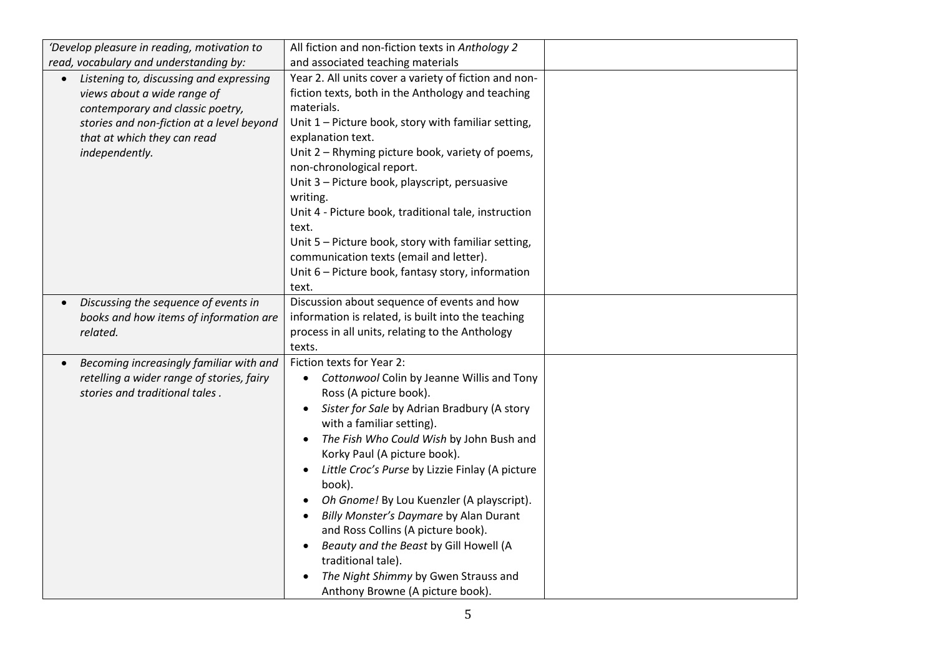| 'Develop pleasure in reading, motivation to                                                                                                                                                                           | All fiction and non-fiction texts in Anthology 2                                                                                                                                                                                                                                                                                                                                                                                                                                                                                                                                                                          |  |
|-----------------------------------------------------------------------------------------------------------------------------------------------------------------------------------------------------------------------|---------------------------------------------------------------------------------------------------------------------------------------------------------------------------------------------------------------------------------------------------------------------------------------------------------------------------------------------------------------------------------------------------------------------------------------------------------------------------------------------------------------------------------------------------------------------------------------------------------------------------|--|
| read, vocabulary and understanding by:                                                                                                                                                                                | and associated teaching materials                                                                                                                                                                                                                                                                                                                                                                                                                                                                                                                                                                                         |  |
| Listening to, discussing and expressing<br>$\bullet$<br>views about a wide range of<br>contemporary and classic poetry,<br>stories and non-fiction at a level beyond<br>that at which they can read<br>independently. | Year 2. All units cover a variety of fiction and non-<br>fiction texts, both in the Anthology and teaching<br>materials.<br>Unit 1 – Picture book, story with familiar setting,<br>explanation text.<br>Unit 2 - Rhyming picture book, variety of poems,<br>non-chronological report.<br>Unit 3 - Picture book, playscript, persuasive<br>writing.<br>Unit 4 - Picture book, traditional tale, instruction<br>text.<br>Unit 5 - Picture book, story with familiar setting,<br>communication texts (email and letter).<br>Unit 6 - Picture book, fantasy story, information                                                |  |
|                                                                                                                                                                                                                       | text.                                                                                                                                                                                                                                                                                                                                                                                                                                                                                                                                                                                                                     |  |
| Discussing the sequence of events in<br>books and how items of information are<br>related.                                                                                                                            | Discussion about sequence of events and how<br>information is related, is built into the teaching<br>process in all units, relating to the Anthology<br>texts.                                                                                                                                                                                                                                                                                                                                                                                                                                                            |  |
| Becoming increasingly familiar with and<br>retelling a wider range of stories, fairy<br>stories and traditional tales.                                                                                                | Fiction texts for Year 2:<br>Cottonwool Colin by Jeanne Willis and Tony<br>$\bullet$<br>Ross (A picture book).<br>Sister for Sale by Adrian Bradbury (A story<br>with a familiar setting).<br>The Fish Who Could Wish by John Bush and<br>Korky Paul (A picture book).<br>Little Croc's Purse by Lizzie Finlay (A picture<br>$\bullet$<br>book).<br>Oh Gnome! By Lou Kuenzler (A playscript).<br>Billy Monster's Daymare by Alan Durant<br>and Ross Collins (A picture book).<br>Beauty and the Beast by Gill Howell (A<br>traditional tale).<br>The Night Shimmy by Gwen Strauss and<br>Anthony Browne (A picture book). |  |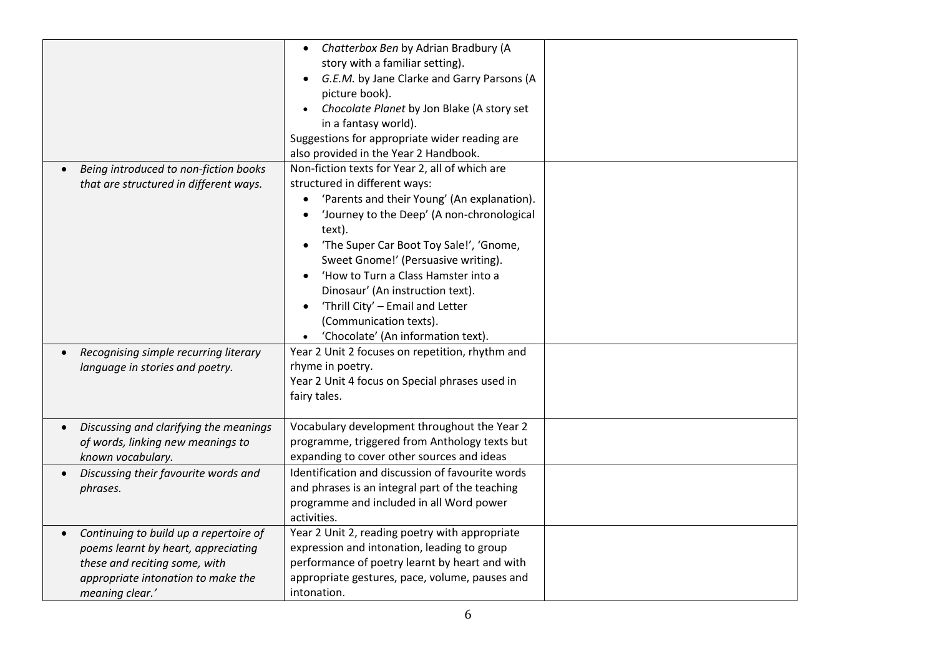|                                                                                                                                                                                      | Chatterbox Ben by Adrian Bradbury (A<br>story with a familiar setting).                                                                                                                                                                                                                                                                                                                                                                                              |  |
|--------------------------------------------------------------------------------------------------------------------------------------------------------------------------------------|----------------------------------------------------------------------------------------------------------------------------------------------------------------------------------------------------------------------------------------------------------------------------------------------------------------------------------------------------------------------------------------------------------------------------------------------------------------------|--|
|                                                                                                                                                                                      | G.E.M. by Jane Clarke and Garry Parsons (A<br>picture book).                                                                                                                                                                                                                                                                                                                                                                                                         |  |
|                                                                                                                                                                                      | Chocolate Planet by Jon Blake (A story set<br>in a fantasy world).                                                                                                                                                                                                                                                                                                                                                                                                   |  |
|                                                                                                                                                                                      | Suggestions for appropriate wider reading are<br>also provided in the Year 2 Handbook.                                                                                                                                                                                                                                                                                                                                                                               |  |
| Being introduced to non-fiction books<br>that are structured in different ways.                                                                                                      | Non-fiction texts for Year 2, all of which are<br>structured in different ways:<br>'Parents and their Young' (An explanation).<br>'Journey to the Deep' (A non-chronological<br>text).<br>'The Super Car Boot Toy Sale!', 'Gnome,<br>Sweet Gnome!' (Persuasive writing).<br>'How to Turn a Class Hamster into a<br>Dinosaur' (An instruction text).<br>'Thrill City' - Email and Letter<br>$\bullet$<br>(Communication texts).<br>'Chocolate' (An information text). |  |
| Recognising simple recurring literary<br>$\bullet$<br>language in stories and poetry.                                                                                                | Year 2 Unit 2 focuses on repetition, rhythm and<br>rhyme in poetry.<br>Year 2 Unit 4 focus on Special phrases used in<br>fairy tales.                                                                                                                                                                                                                                                                                                                                |  |
| Discussing and clarifying the meanings<br>$\bullet$<br>of words, linking new meanings to<br>known vocabulary.                                                                        | Vocabulary development throughout the Year 2<br>programme, triggered from Anthology texts but<br>expanding to cover other sources and ideas                                                                                                                                                                                                                                                                                                                          |  |
| Discussing their favourite words and<br>phrases.                                                                                                                                     | Identification and discussion of favourite words<br>and phrases is an integral part of the teaching<br>programme and included in all Word power<br>activities.                                                                                                                                                                                                                                                                                                       |  |
| Continuing to build up a repertoire of<br>$\bullet$<br>poems learnt by heart, appreciating<br>these and reciting some, with<br>appropriate intonation to make the<br>meaning clear.' | Year 2 Unit 2, reading poetry with appropriate<br>expression and intonation, leading to group<br>performance of poetry learnt by heart and with<br>appropriate gestures, pace, volume, pauses and<br>intonation.                                                                                                                                                                                                                                                     |  |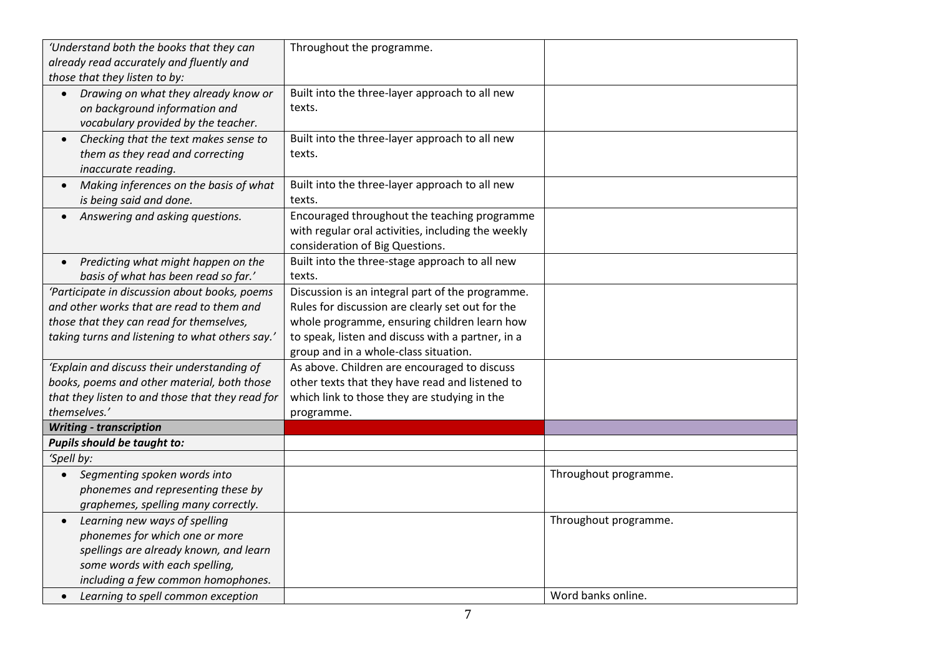| 'Understand both the books that they can            | Throughout the programme.                          |                       |
|-----------------------------------------------------|----------------------------------------------------|-----------------------|
| already read accurately and fluently and            |                                                    |                       |
| those that they listen to by:                       |                                                    |                       |
| Drawing on what they already know or<br>$\bullet$   | Built into the three-layer approach to all new     |                       |
| on background information and                       | texts.                                             |                       |
| vocabulary provided by the teacher.                 |                                                    |                       |
| Checking that the text makes sense to<br>$\bullet$  | Built into the three-layer approach to all new     |                       |
| them as they read and correcting                    | texts.                                             |                       |
| inaccurate reading.                                 |                                                    |                       |
| Making inferences on the basis of what<br>$\bullet$ | Built into the three-layer approach to all new     |                       |
| is being said and done.                             | texts.                                             |                       |
| Answering and asking questions.<br>$\bullet$        | Encouraged throughout the teaching programme       |                       |
|                                                     | with regular oral activities, including the weekly |                       |
|                                                     | consideration of Big Questions.                    |                       |
| Predicting what might happen on the<br>$\bullet$    | Built into the three-stage approach to all new     |                       |
| basis of what has been read so far.'                | texts.                                             |                       |
| 'Participate in discussion about books, poems       | Discussion is an integral part of the programme.   |                       |
| and other works that are read to them and           | Rules for discussion are clearly set out for the   |                       |
| those that they can read for themselves,            | whole programme, ensuring children learn how       |                       |
| taking turns and listening to what others say.'     | to speak, listen and discuss with a partner, in a  |                       |
|                                                     | group and in a whole-class situation.              |                       |
| 'Explain and discuss their understanding of         | As above. Children are encouraged to discuss       |                       |
| books, poems and other material, both those         | other texts that they have read and listened to    |                       |
| that they listen to and those that they read for    | which link to those they are studying in the       |                       |
| themselves.'                                        | programme.                                         |                       |
| <b>Writing - transcription</b>                      |                                                    |                       |
| Pupils should be taught to:                         |                                                    |                       |
| 'Spell by:                                          |                                                    |                       |
| Segmenting spoken words into<br>$\bullet$           |                                                    | Throughout programme. |
| phonemes and representing these by                  |                                                    |                       |
| graphemes, spelling many correctly.                 |                                                    |                       |
| Learning new ways of spelling                       |                                                    | Throughout programme. |
| phonemes for which one or more                      |                                                    |                       |
| spellings are already known, and learn              |                                                    |                       |
| some words with each spelling,                      |                                                    |                       |
| including a few common homophones.                  |                                                    |                       |
| Learning to spell common exception                  |                                                    | Word banks online.    |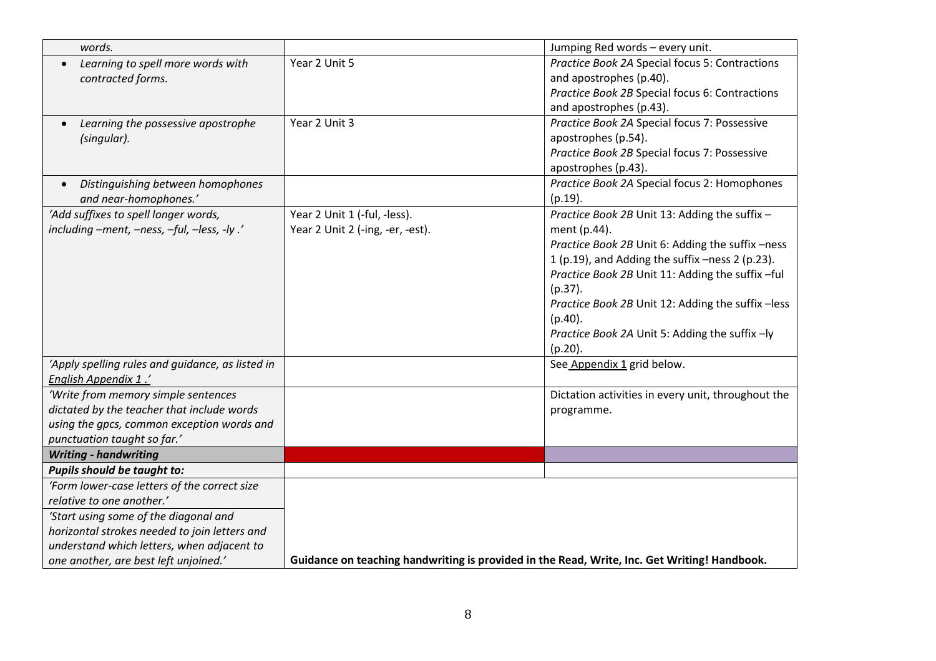| words.                                           |                                                                                              | Jumping Red words - every unit.                    |
|--------------------------------------------------|----------------------------------------------------------------------------------------------|----------------------------------------------------|
| Learning to spell more words with                | Year 2 Unit 5                                                                                | Practice Book 2A Special focus 5: Contractions     |
| contracted forms.                                |                                                                                              | and apostrophes (p.40).                            |
|                                                  |                                                                                              | Practice Book 2B Special focus 6: Contractions     |
|                                                  |                                                                                              | and apostrophes (p.43).                            |
| Learning the possessive apostrophe               | Year 2 Unit 3                                                                                | Practice Book 2A Special focus 7: Possessive       |
| (singular).                                      |                                                                                              | apostrophes (p.54).                                |
|                                                  |                                                                                              | Practice Book 2B Special focus 7: Possessive       |
|                                                  |                                                                                              | apostrophes (p.43).                                |
| Distinguishing between homophones<br>$\bullet$   |                                                                                              | Practice Book 2A Special focus 2: Homophones       |
| and near-homophones.'                            |                                                                                              | $(p.19)$ .                                         |
| 'Add suffixes to spell longer words,             | Year 2 Unit 1 (-ful, -less).                                                                 | Practice Book 2B Unit 13: Adding the suffix -      |
| including -ment, -ness, -ful, -less, -ly .'      | Year 2 Unit 2 (-ing, -er, -est).                                                             | ment (p.44).                                       |
|                                                  |                                                                                              | Practice Book 2B Unit 6: Adding the suffix -ness   |
|                                                  |                                                                                              | 1 (p.19), and Adding the suffix -ness 2 (p.23).    |
|                                                  |                                                                                              | Practice Book 2B Unit 11: Adding the suffix -ful   |
|                                                  |                                                                                              | $(p.37)$ .                                         |
|                                                  |                                                                                              | Practice Book 2B Unit 12: Adding the suffix - less |
|                                                  |                                                                                              | $(p.40)$ .                                         |
|                                                  |                                                                                              | Practice Book 2A Unit 5: Adding the suffix -ly     |
|                                                  |                                                                                              | $(p.20)$ .                                         |
| 'Apply spelling rules and guidance, as listed in |                                                                                              | See Appendix 1 grid below.                         |
| <b>English Appendix 1.'</b>                      |                                                                                              |                                                    |
| 'Write from memory simple sentences              |                                                                                              | Dictation activities in every unit, throughout the |
| dictated by the teacher that include words       |                                                                                              | programme.                                         |
| using the gpcs, common exception words and       |                                                                                              |                                                    |
| punctuation taught so far.'                      |                                                                                              |                                                    |
| <b>Writing - handwriting</b>                     |                                                                                              |                                                    |
| Pupils should be taught to:                      |                                                                                              |                                                    |
| 'Form lower-case letters of the correct size     |                                                                                              |                                                    |
| relative to one another.'                        |                                                                                              |                                                    |
| 'Start using some of the diagonal and            |                                                                                              |                                                    |
| horizontal strokes needed to join letters and    |                                                                                              |                                                    |
| understand which letters, when adjacent to       |                                                                                              |                                                    |
| one another, are best left unjoined.'            | Guidance on teaching handwriting is provided in the Read, Write, Inc. Get Writing! Handbook. |                                                    |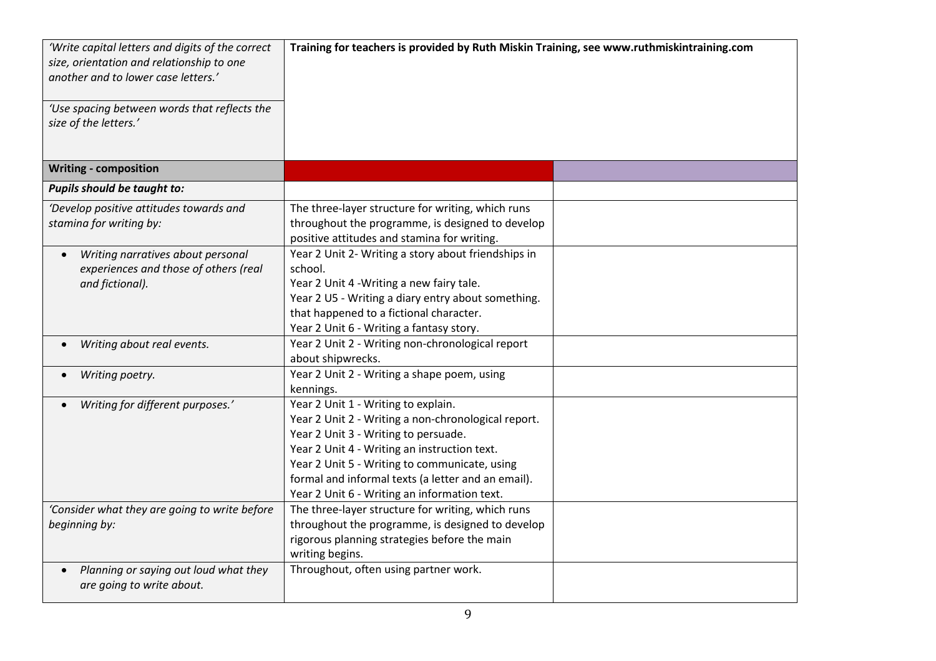| 'Write capital letters and digits of the correct<br>size, orientation and relationship to one<br>another and to lower case letters.'<br>'Use spacing between words that reflects the<br>size of the letters.' | Training for teachers is provided by Ruth Miskin Training, see www.ruthmiskintraining.com                                                                                                                                                                                                                                                 |  |
|---------------------------------------------------------------------------------------------------------------------------------------------------------------------------------------------------------------|-------------------------------------------------------------------------------------------------------------------------------------------------------------------------------------------------------------------------------------------------------------------------------------------------------------------------------------------|--|
| <b>Writing - composition</b>                                                                                                                                                                                  |                                                                                                                                                                                                                                                                                                                                           |  |
| Pupils should be taught to:                                                                                                                                                                                   |                                                                                                                                                                                                                                                                                                                                           |  |
| 'Develop positive attitudes towards and<br>stamina for writing by:                                                                                                                                            | The three-layer structure for writing, which runs<br>throughout the programme, is designed to develop<br>positive attitudes and stamina for writing.                                                                                                                                                                                      |  |
| Writing narratives about personal<br>experiences and those of others (real<br>and fictional).                                                                                                                 | Year 2 Unit 2- Writing a story about friendships in<br>school.<br>Year 2 Unit 4 - Writing a new fairy tale.<br>Year 2 U5 - Writing a diary entry about something.<br>that happened to a fictional character.<br>Year 2 Unit 6 - Writing a fantasy story.                                                                                  |  |
| Writing about real events.                                                                                                                                                                                    | Year 2 Unit 2 - Writing non-chronological report<br>about shipwrecks.                                                                                                                                                                                                                                                                     |  |
| Writing poetry.                                                                                                                                                                                               | Year 2 Unit 2 - Writing a shape poem, using<br>kennings.                                                                                                                                                                                                                                                                                  |  |
| Writing for different purposes.'                                                                                                                                                                              | Year 2 Unit 1 - Writing to explain.<br>Year 2 Unit 2 - Writing a non-chronological report.<br>Year 2 Unit 3 - Writing to persuade.<br>Year 2 Unit 4 - Writing an instruction text.<br>Year 2 Unit 5 - Writing to communicate, using<br>formal and informal texts (a letter and an email).<br>Year 2 Unit 6 - Writing an information text. |  |
| 'Consider what they are going to write before<br>beginning by:                                                                                                                                                | The three-layer structure for writing, which runs<br>throughout the programme, is designed to develop<br>rigorous planning strategies before the main<br>writing begins.                                                                                                                                                                  |  |
| Planning or saying out loud what they<br>are going to write about.                                                                                                                                            | Throughout, often using partner work.                                                                                                                                                                                                                                                                                                     |  |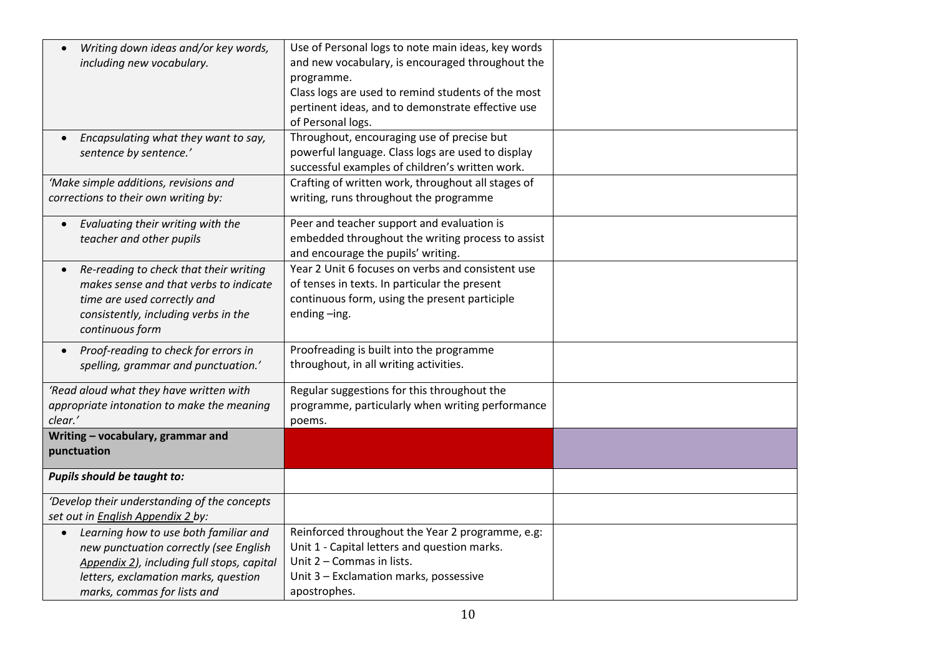| Writing down ideas and/or key words,              | Use of Personal logs to note main ideas, key words |  |
|---------------------------------------------------|----------------------------------------------------|--|
| including new vocabulary.                         | and new vocabulary, is encouraged throughout the   |  |
|                                                   | programme.                                         |  |
|                                                   | Class logs are used to remind students of the most |  |
|                                                   | pertinent ideas, and to demonstrate effective use  |  |
|                                                   | of Personal logs.                                  |  |
| Encapsulating what they want to say,              | Throughout, encouraging use of precise but         |  |
| sentence by sentence.'                            | powerful language. Class logs are used to display  |  |
|                                                   | successful examples of children's written work.    |  |
| 'Make simple additions, revisions and             | Crafting of written work, throughout all stages of |  |
| corrections to their own writing by:              | writing, runs throughout the programme             |  |
|                                                   |                                                    |  |
| Evaluating their writing with the                 | Peer and teacher support and evaluation is         |  |
| teacher and other pupils                          | embedded throughout the writing process to assist  |  |
|                                                   | and encourage the pupils' writing.                 |  |
| Re-reading to check that their writing            | Year 2 Unit 6 focuses on verbs and consistent use  |  |
| makes sense and that verbs to indicate            | of tenses in texts. In particular the present      |  |
| time are used correctly and                       | continuous form, using the present participle      |  |
| consistently, including verbs in the              | ending-ing.                                        |  |
| continuous form                                   |                                                    |  |
| Proof-reading to check for errors in<br>$\bullet$ | Proofreading is built into the programme           |  |
| spelling, grammar and punctuation.'               | throughout, in all writing activities.             |  |
|                                                   |                                                    |  |
| 'Read aloud what they have written with           | Regular suggestions for this throughout the        |  |
| appropriate intonation to make the meaning        | programme, particularly when writing performance   |  |
| clear.'                                           | poems.                                             |  |
| Writing - vocabulary, grammar and                 |                                                    |  |
| punctuation                                       |                                                    |  |
| <b>Pupils should be taught to:</b>                |                                                    |  |
|                                                   |                                                    |  |
| 'Develop their understanding of the concepts      |                                                    |  |
| set out in English Appendix 2 by:                 |                                                    |  |
| Learning how to use both familiar and             | Reinforced throughout the Year 2 programme, e.g:   |  |
| new punctuation correctly (see English            | Unit 1 - Capital letters and question marks.       |  |
| Appendix 2), including full stops, capital        | Unit 2 - Commas in lists.                          |  |
| letters, exclamation marks, question              | Unit 3 - Exclamation marks, possessive             |  |
| marks, commas for lists and                       | apostrophes.                                       |  |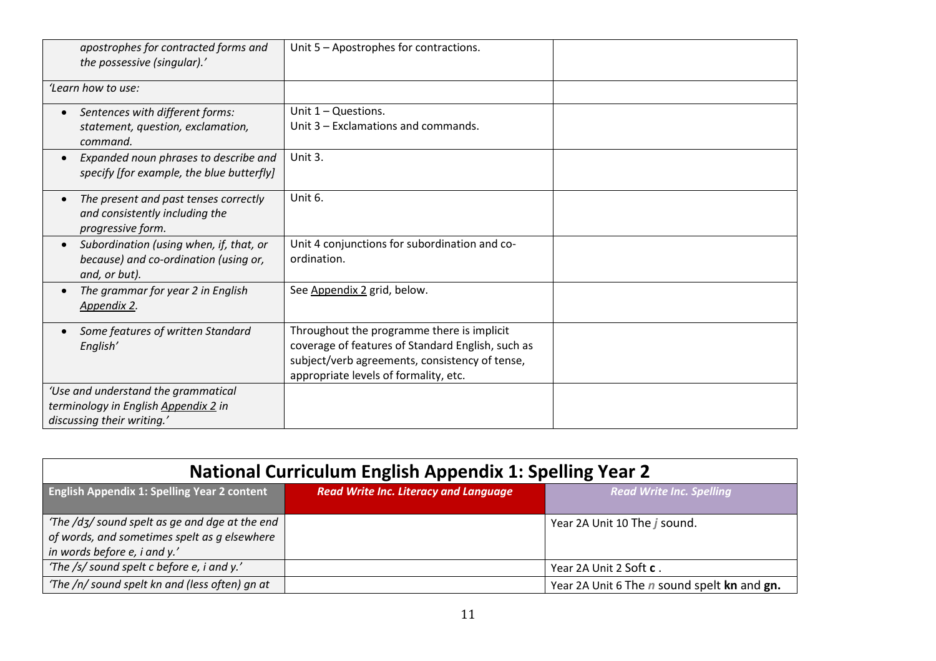| apostrophes for contracted forms and<br>the possessive (singular).'                                            | Unit 5 - Apostrophes for contractions.                                                                                                                                                     |  |
|----------------------------------------------------------------------------------------------------------------|--------------------------------------------------------------------------------------------------------------------------------------------------------------------------------------------|--|
| 'Learn how to use:                                                                                             |                                                                                                                                                                                            |  |
| Sentences with different forms:<br>$\bullet$<br>statement, question, exclamation,<br>command.                  | Unit $1 -$ Questions.<br>Unit 3 - Exclamations and commands.                                                                                                                               |  |
| Expanded noun phrases to describe and<br>$\bullet$<br>specify [for example, the blue butterfly]                | Unit 3.                                                                                                                                                                                    |  |
| The present and past tenses correctly<br>$\bullet$<br>and consistently including the<br>progressive form.      | Unit 6.                                                                                                                                                                                    |  |
| Subordination (using when, if, that, or<br>$\bullet$<br>because) and co-ordination (using or,<br>and, or but). | Unit 4 conjunctions for subordination and co-<br>ordination.                                                                                                                               |  |
| The grammar for year 2 in English<br>$\bullet$<br>Appendix 2.                                                  | See Appendix 2 grid, below.                                                                                                                                                                |  |
| Some features of written Standard<br>$\bullet$<br>English'                                                     | Throughout the programme there is implicit<br>coverage of features of Standard English, such as<br>subject/verb agreements, consistency of tense,<br>appropriate levels of formality, etc. |  |
| 'Use and understand the grammatical<br>terminology in English Appendix 2 in<br>discussing their writing.'      |                                                                                                                                                                                            |  |

| <b>National Curriculum English Appendix 1: Spelling Year 2</b>                                                                 |                                              |                                                    |
|--------------------------------------------------------------------------------------------------------------------------------|----------------------------------------------|----------------------------------------------------|
| <b>English Appendix 1: Spelling Year 2 content</b>                                                                             | <b>Read Write Inc. Literacy and Language</b> | <b>Read Write Inc. Spelling</b>                    |
| 'The /dʒ/ sound spelt as ge and dge at the end<br>of words, and sometimes spelt as g elsewhere<br>in words before e, i and y.' |                                              | Year 2A Unit 10 The j sound.                       |
| 'The /s/ sound spelt c before e, i and y.'                                                                                     |                                              | Year 2A Unit 2 Soft c.                             |
| 'The /n/ sound spelt kn and (less often) gn at                                                                                 |                                              | Year 2A Unit 6 The <i>n</i> sound spelt kn and gn. |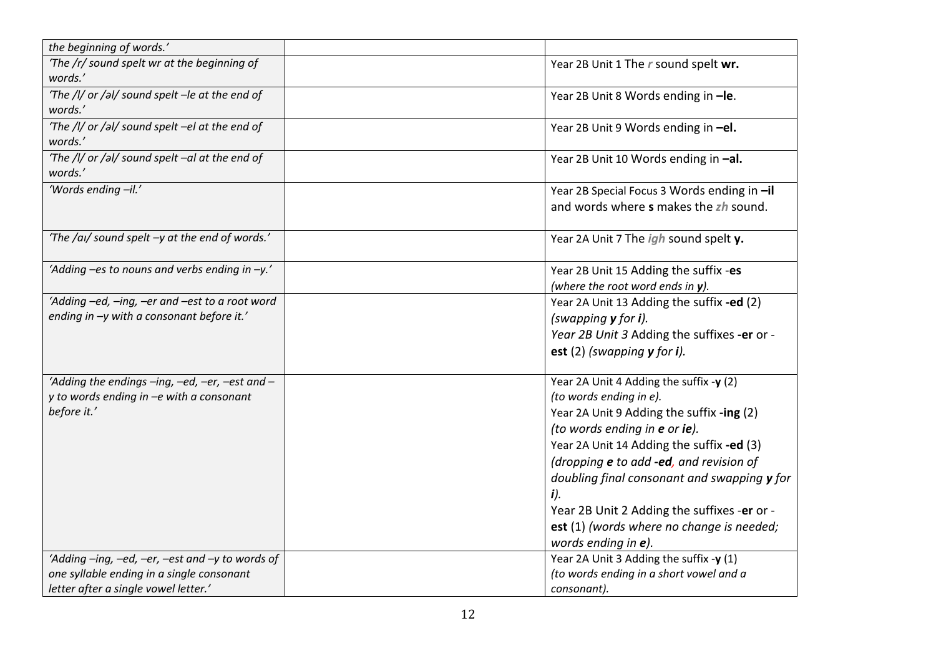| the beginning of words.'                                                                                                             |                                                                                                                                                                                                                                                                                                                                                                                                                  |
|--------------------------------------------------------------------------------------------------------------------------------------|------------------------------------------------------------------------------------------------------------------------------------------------------------------------------------------------------------------------------------------------------------------------------------------------------------------------------------------------------------------------------------------------------------------|
| 'The /r/ sound spelt wr at the beginning of<br>words.'                                                                               | Year 2B Unit 1 The r sound spelt wr.                                                                                                                                                                                                                                                                                                                                                                             |
| 'The /I/ or /al/ sound spelt -le at the end of<br>words.'                                                                            | Year 2B Unit 8 Words ending in -le.                                                                                                                                                                                                                                                                                                                                                                              |
| 'The /l/ or /al/ sound spelt -el at the end of<br>words.'                                                                            | Year 2B Unit 9 Words ending in -el.                                                                                                                                                                                                                                                                                                                                                                              |
| 'The /l/ or /al/ sound spelt -al at the end of<br>words.'                                                                            | Year 2B Unit 10 Words ending in -al.                                                                                                                                                                                                                                                                                                                                                                             |
| 'Words ending -il.'                                                                                                                  | Year 2B Special Focus 3 Words ending in -il<br>and words where s makes the zh sound.                                                                                                                                                                                                                                                                                                                             |
| 'The /ai/ sound spelt -y at the end of words.'                                                                                       | Year 2A Unit 7 The igh sound spelt y.                                                                                                                                                                                                                                                                                                                                                                            |
| 'Adding -es to nouns and verbs ending in -y.'                                                                                        | Year 2B Unit 15 Adding the suffix -es<br>(where the root word ends in y).                                                                                                                                                                                                                                                                                                                                        |
| 'Adding -ed, -ing, -er and -est to a root word<br>ending in -y with a consonant before it.'                                          | Year 2A Unit 13 Adding the suffix -ed (2)<br>(swapping $y$ for i).<br>Year 2B Unit 3 Adding the suffixes -er or -<br>est $(2)$ (swapping $y$ for i).                                                                                                                                                                                                                                                             |
| 'Adding the endings -ing, -ed, -er, -est and -<br>y to words ending in -e with a consonant<br>before it.'                            | Year 2A Unit 4 Adding the suffix -y (2)<br>(to words ending in e).<br>Year 2A Unit 9 Adding the suffix -ing (2)<br>(to words ending in e or ie).<br>Year 2A Unit 14 Adding the suffix -ed (3)<br>(dropping e to add -ed, and revision of<br>doubling final consonant and swapping y for<br>i)<br>Year 2B Unit 2 Adding the suffixes -er or -<br>est (1) (words where no change is needed;<br>words ending in e). |
| 'Adding -ing, -ed, -er, -est and -y to words of<br>one syllable ending in a single consonant<br>letter after a single vowel letter.' | Year 2A Unit 3 Adding the suffix -y (1)<br>(to words ending in a short vowel and a<br>consonant).                                                                                                                                                                                                                                                                                                                |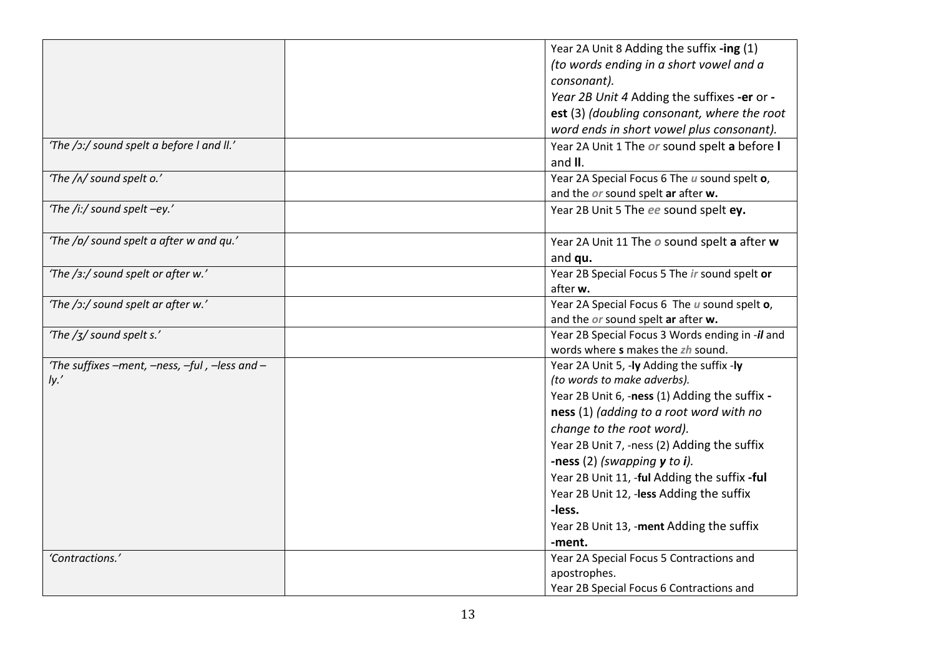|                                               | Year 2A Unit 8 Adding the suffix -ing (1)       |
|-----------------------------------------------|-------------------------------------------------|
|                                               | (to words ending in a short vowel and a         |
|                                               | consonant).                                     |
|                                               | Year 2B Unit 4 Adding the suffixes -er or -     |
|                                               | est (3) (doubling consonant, where the root     |
|                                               | word ends in short vowel plus consonant).       |
| 'The /ɔ:/ sound spelt a before I and II.'     | Year 2A Unit 1 The or sound spelt a before I    |
|                                               | and II.                                         |
| 'The /^/ sound spelt o.'                      | Year 2A Special Focus 6 The u sound spelt o,    |
|                                               | and the or sound spelt ar after w.              |
| 'The /i:/ sound spelt -ey.'                   | Year 2B Unit 5 The ee sound spelt ey.           |
| 'The /p/ sound spelt a after w and qu.'       | Year 2A Unit 11 The o sound spelt a after w     |
|                                               | and qu.                                         |
| 'The /3:/ sound spelt or after w.'            | Year 2B Special Focus 5 The ir sound spelt or   |
|                                               | after w.                                        |
| 'The /ɔ:/ sound spelt ar after w.'            | Year 2A Special Focus 6 The u sound spelt o,    |
|                                               | and the or sound spelt ar after w.              |
| 'The $\frac{1}{3}$ sound spelt s.'            | Year 2B Special Focus 3 Words ending in -il and |
|                                               | words where s makes the zh sound.               |
| 'The suffixes -ment, -ness, -ful, -less and - | Year 2A Unit 5, -ly Adding the suffix -ly       |
| Iy.'                                          | (to words to make adverbs).                     |
|                                               | Year 2B Unit 6, -ness (1) Adding the suffix -   |
|                                               | ness (1) (adding to a root word with no         |
|                                               | change to the root word).                       |
|                                               | Year 2B Unit 7, -ness (2) Adding the suffix     |
|                                               | -ness $(2)$ (swapping $y$ to i).                |
|                                               | Year 2B Unit 11, -ful Adding the suffix -ful    |
|                                               | Year 2B Unit 12, -less Adding the suffix        |
|                                               | -less.                                          |
|                                               | Year 2B Unit 13, -ment Adding the suffix        |
|                                               | -ment.                                          |
| 'Contractions.'                               | Year 2A Special Focus 5 Contractions and        |
|                                               | apostrophes.                                    |
|                                               | Year 2B Special Focus 6 Contractions and        |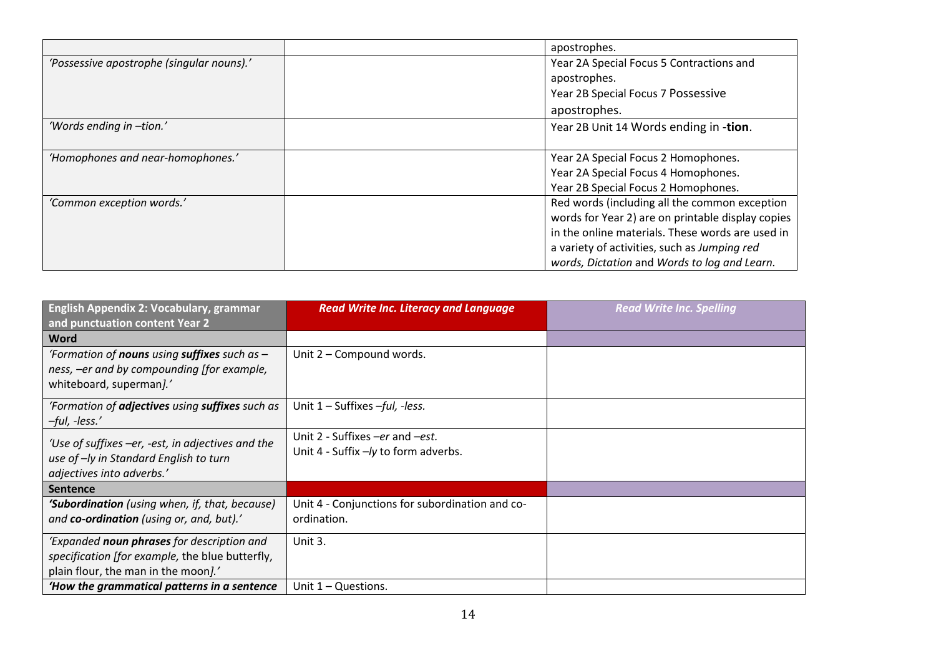|                                           | apostrophes.                                      |
|-------------------------------------------|---------------------------------------------------|
| 'Possessive apostrophe (singular nouns).' | Year 2A Special Focus 5 Contractions and          |
|                                           | apostrophes.                                      |
|                                           | Year 2B Special Focus 7 Possessive                |
|                                           | apostrophes.                                      |
| 'Words ending in -tion.'                  | Year 2B Unit 14 Words ending in -tion.            |
| 'Homophones and near-homophones.'         | Year 2A Special Focus 2 Homophones.               |
|                                           | Year 2A Special Focus 4 Homophones.               |
|                                           | Year 2B Special Focus 2 Homophones.               |
| 'Common exception words.'                 | Red words (including all the common exception     |
|                                           | words for Year 2) are on printable display copies |
|                                           | in the online materials. These words are used in  |
|                                           | a variety of activities, such as Jumping red      |
|                                           | words, Dictation and Words to log and Learn.      |

| <b>English Appendix 2: Vocabulary, grammar</b><br>and punctuation content Year 2                                                      | <b>Read Write Inc. Literacy and Language</b>                            | <b>Read Write Inc. Spelling</b> |
|---------------------------------------------------------------------------------------------------------------------------------------|-------------------------------------------------------------------------|---------------------------------|
| <b>Word</b>                                                                                                                           |                                                                         |                                 |
| 'Formation of <b>nouns</b> using <b>suffixes</b> such as $-$<br>ness, -er and by compounding [for example,<br>whiteboard, superman].' | Unit 2 - Compound words.                                                |                                 |
| 'Formation of <b>adjectives</b> using <b>suffixes</b> such as<br>$-ful, -less.'$                                                      | Unit $1$ – Suffixes –ful, -less.                                        |                                 |
| 'Use of suffixes -er, -est, in adjectives and the<br>use of -ly in Standard English to turn<br>adjectives into adverbs.'              | Unit 2 - Suffixes -er and -est.<br>Unit 4 - Suffix -/y to form adverbs. |                                 |
| Sentence                                                                                                                              |                                                                         |                                 |
| 'Subordination (using when, if, that, because)<br>and co-ordination (using or, and, but).'                                            | Unit 4 - Conjunctions for subordination and co-<br>ordination.          |                                 |
| 'Expanded noun phrases for description and<br>specification [for example, the blue butterfly,<br>plain flour, the man in the moon].'  | Unit 3.                                                                 |                                 |
| 'How the grammatical patterns in a sentence                                                                                           | Unit $1 -$ Questions.                                                   |                                 |